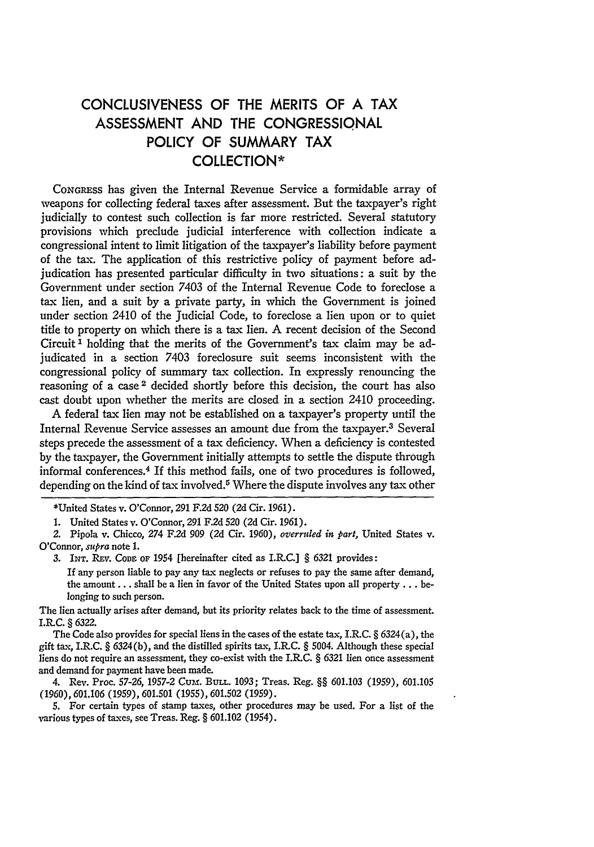## **CONCLUSIVENESS** OF THE MERITS OF **A** TAX **ASSESSMENT AND** THE **CONGRESSIONAL** POLICY OF SUMMARY TAX **COLLECTION\***

CONGRESS has given the Internal Revenue Service a formidable array of weapons for collecting federal taxes after assessment. But the taxpayer's right judicially to contest such collection is far more restricted. Several statutory provisions which preclude judicial interference with collection indicate a congressional intent to limit litigation of the taxpayer's liability before payment of the tax. The application of this restrictive policy of payment before adjudication has presented particular difficulty in two situations: a suit by the Government under section 7403 of the Internal Revenue Code to foreclose a tax lien, and a suit by a private party, in which the Government is joined under section 2410 of the Judicial Code, to foreclose a lien upon or to quiet title to property on which there is a tax lien. A recent decision of the Second Circuit<sup>1</sup> holding that the merits of the Government's tax claim may be adjudicated in a section 7403 foreclosure suit seems inconsistent with the congressional policy of summary tax collection. In expressly renouncing the reasoning of a case<sup>2</sup> decided shortly before this decision, the court has also cast doubt upon whether the merits are closed in a section 2410 proceeding.

A federal tax lien may not be established on a taxpayer's property until the Internal Revenue Service assesses an amount due from the taxpayer.3 Several steps precede the assessment of a tax deficiency. When a deficiency is contested by the taxpayer, the Government initially attempts to settle the dispute through informal conferences.<sup>4</sup> If this method fails, one of two procedures is followed, depending on the kind of tax involved.<sup>5</sup> Where the dispute involves any tax other

The lien actually arises after demand, but its priority relates back to the time of assessment. I.R.C. **§** *6322.*

The Code also provides for special liens in the cases of the estate tax, I.R.C. **§** 6324 (a), the gift tax, I.R.C. **§** 6324(b), and the distilled spirits tax, **I.R.C. §** 5004. Although these special liens do not require an assessment, they co-exist xvith the I.R.C. § 6321 lien once assessment and demand for payment have been made.

4. Rev. Proc. 57-26, 1957-2 Cum. **BULL.** 1093; Treas. Reg. **§§** 601.103 (1959), 601.105 (1960), 601.106 (1959), 601.501 **(1955),** 601.502 (1959).

5. For certain types of stamp taxes, other procedures may be used. For a list of the various types of taxes, see Treas. Reg. § 601.102 (1954).

<sup>\*</sup>United States v. O'Connor, 291 F.2d 520 (2d Cir. 1961).

<sup>1.</sup> United States v. O'Connor, 291 F.2d 520 (2d Cir. 1961).

*<sup>2.</sup>* Pipola v. Chicco, 274 F.2d 909 (2d Cir. 1960), *overruled in part,* United States v. O'Connor, *supra* note 1.

*<sup>3.</sup>* INT. REv. **CODE** OF 1954 [hereinafter cited as I.R.C.] **§** 6321 provides:

If any person liable to pay any tax neglects or refuses to pay the same after demand, the amount... shall be a lien in favor of the United States upon all property... belonging to such person.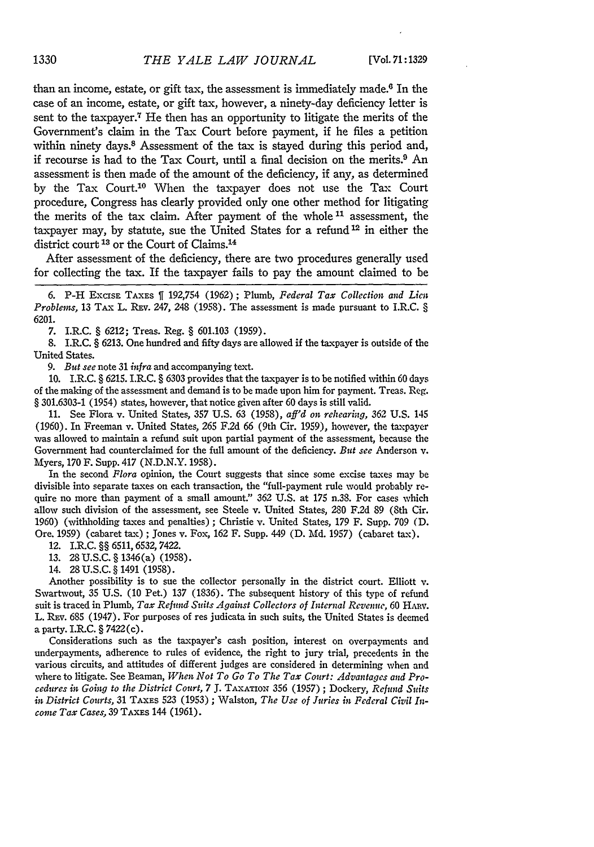than an income, estate, or gift tax, the assessment is immediately made. $6$  In the case of an income, estate, or gift tax, however, a ninety-day deficiency letter is sent to the taxpayer.<sup>7</sup> He then has an opportunity to litigate the merits of the Government's claim in the Tax Court before payment, if he files a petition within ninety days.<sup>8</sup> Assessment of the tax is stayed during this period and, if recourse is had to the Tax Court, until a final decision on the merits.9 An assessment is then made of the amount of the deficiency, if any, as determined by the Tax Court.10 When the taxpayer does not use the Tax Court procedure, Congress has dearly provided only one other method for litigating the merits of the tax claim. After payment of the whole<sup>11</sup> assessment, the taxpayer may, by statute, sue the United States for a refund **12** in either the district court **13** or the Court of Claims.<sup>14</sup>

After assessment of the deficiency, there are two procedures generally used for collecting the tax. If the taxpayer fails to pay the amount claimed to be

**6.** P-H EXCISE TAXES 1 **192,754** (1962); Plumb, *Federal Tax Collection and Licn Problems,* 13 TAX L. REv. 247, 248 (1958). The assessment is made pursuant to I.R.C. § 6201.

7. I.R.C. § **6212;** Treas. Reg. § 601.103 (1959).

8. I.R.C. § 6213. One hundred and fifty days are allowed if the taxpayer is outside of the United States.

*9. But see* note 31 *infra* and accompanying text.

10. I.R.C. § 6215. I.R.C. § 6303 provides that the taxpayer is to be notified within 60 days of the making of the assessment and demand is to be made upon him for payment. Treas. Reg. § 301.6303-1 (1954) states, however, that notice given after 60 days is still valid.

11. See Flora v. United States, **357** U.S. 63 (1958), *aff'd on rehearing,* 362 U.S. 145 (1960). In Freeman v. United States, 265 F.2d 66 (9th Cir. 1959), however, the taxpayer was allowed to maintain a refund suit upon partial payment of the assessment, because the Government had counterclaimed for the full amount of the deficiency. *But see* Anderson v. Myers, 170 F. Supp. 417 (N.D.N.Y. 1958).

In the second *Flora* opinion, the Court suggests that since some excise taxes may be divisible into separate taxes on each transaction, the "full-payment rule would probably require no more than payment of a small amount." 362 U.S. at 175 n.38. For cases which allow such division of the assessment, see Steele v. United States, 280 F.2d 89 (8th Cir. 1960) (withholding taxes and penalties) ; Christie v. United States, 179 F. Supp. 709 (D. Ore. 1959) (cabaret tax) ; Jones v. Fox, 162 F. Supp. 449 (D. Md. 1957) (cabaret tax).

12. I.R.C. §§ 6511,6532, 7422.

13. 28 **U.S.C.** § 1346(a) (1958).

14. 28U.S.C.§ 1491 (1958).

Another possibility is to sue the collector personally in the district court. Elliott v. Swartwout, 35 U.S. (10 Pet.) 137 (1836). The subsequent history of this type of refund suit is traced in Plumb, *Tax Refund Suits Against Collectors of Internal Revenue,* 60 HAxv. L. REv. 685 (1947). For purposes of res judicata in such suits, the United States is deemed a party. I.R.C. § 7422(c).

Considerations such as the taxpayer's cash position, interest on overpayments and underpayments, adherence to rules of evidence, the right to jury trial, precedents in the various circuits, and attitudes of different judges are considered in determining when and where to litigate. See Beaman, *When Not To Go To The Tax Court: Advantages and Procedures in Going to the District Court, 7* **J.** TAXATIOx 356 (1957) **;** Dockery, *Refund Suits in District Courts, 31* TAXES **523** (1953) ; Walston, *The Use of Juries in Federal Civil Income Tax Cases,* 39 **TAXES** 144 (1961).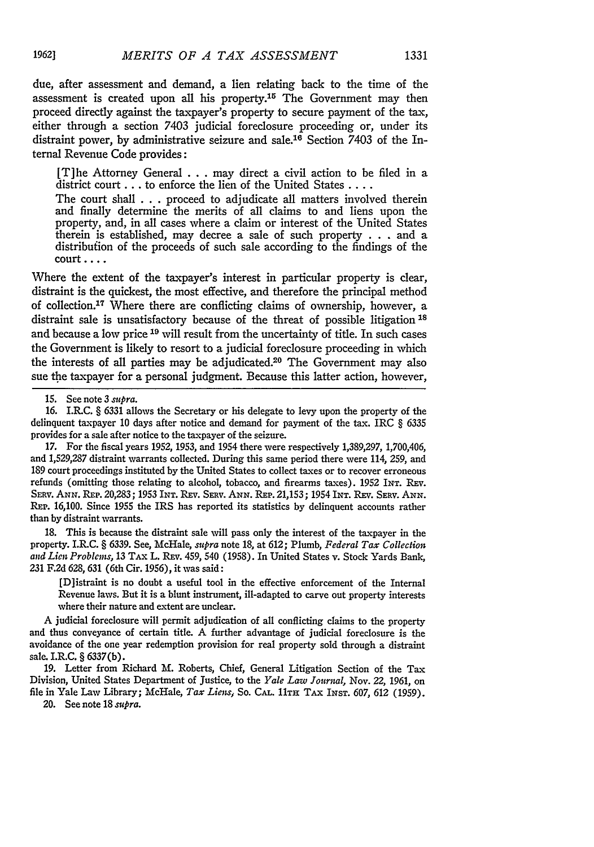due, after assessment and demand, a lien relating back to the time of the assessment is created upon all his property.15 The Government may then proceed directly against the taxpayer's property to secure payment of the tax, either through a section 7403 judicial foreclosure proceeding or, under its distraint power, by administrative seizure and sale.16 Section 7403 of the Internal Revenue Code provides:

[T]he Attorney General ... may direct a civil action to be filed in a district court **...** to enforce the lien of the United States **....**

The court shall . . . proceed to adjudicate all matters involved therein and finally determine the merits of all claims to and liens upon the property, and, in all cases where a claim or interest of the United States therein is established, may decree a sale of such property . . . and a distribufion of the proceeds of such sale according to the findings of the court ....

Where the extent of the taxpayer's interest in particular property is clear, distraint is the quickest, the most effective, and therefore the principal method of collection.<sup>17</sup> Where there are conflicting claims of ownership, however, a distraint sale is unsatisfactory because of the threat of possible litigation<sup>18</sup> and because a low price **19** will result from the uncertainty of title. In such cases the Government is likely to resort to a judicial foreclosure proceeding in which the interests of all parties may be adjudicated.20 The Government may also sue the taxpayer for a personal judgment. Because this latter action, however,

17. For the fiscal years 1952, 1953, and 1954 there were respectively *1,389,297,* 1,700,406, and 1,529,287 distraint warrants collected. During this same period there were 114, 259, and 189 court proceedings instituted by the United States to collect taxes or to recover erroneous refunds (omitting those relating to alcohol, tobacco, and firearms taxes). 1952 INT. REV. SERV. ANN. REP. 20,283; 1953 INT. REV. SERV. ANN. REP. 21,153; 1954 INT. REV. SERV. ANN. REP. 16,100. Since 1955 the IRS has reported its statistics by delinquent accounts rather than by distraint warrants.

18. This is because the distraint sale will pass only the interest of the taxpayer in the property. I.R.C. § 6339. See, McHale, *supra* note 18, at 612; Plumb, *Federal Tax Collection and Lien Problems,* 13 TAx L. REv. 459, 540 (1958). In United States v. Stock Yards Bank, 231 F.2d 628, 631 (6th Cir. 1956), it was said:

[D]istraint is no doubt a useful tool in the effective enforcement of the Internal Revenue laws. But it is a blunt instrument, ill-adapted to carve out property interests where their nature and extent are unclear.

A judicial foreclosure will permit adjudication of all conflicting claims to the property and thus conveyance of certain title. A further advantage of judicial foreclosure is the avoidance of the one year redemption provision for real property sold through a distraint sale. I.R.C. § 6337(b).

19. Letter from Richard M. Roberts, Chief, General Litigation Section of the Tax Division, United States Department of Justice, to the *Yale Law Journal,* Nov. 22, **1961,** on file in Yale Law Library; McHale, *Tax Liens,* So. **CAL.** 11TH TAX INsT. 607, **612** (1959).

20. See note 18 *supra.*

<sup>15.</sup> See note 3 *supra.*

<sup>16.</sup> I.R.C. § 6331 allows the Secretary or his delegate to levy upon the property of the delinquent taxpayer 10 days after notice and demand for payment of the tax. IRC § 6335 provides for a sale after notice to the taxpayer of the seizure.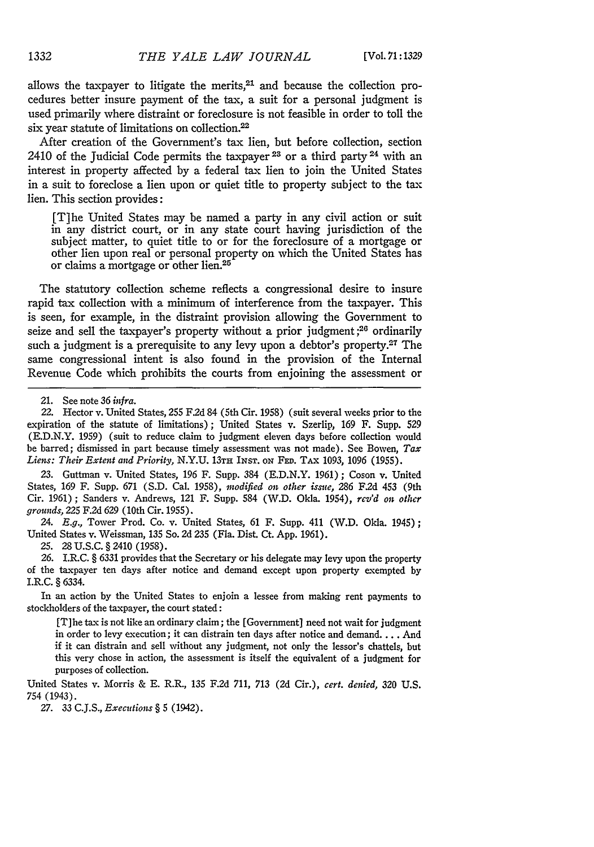allows the taxpayer to litigate the merits, $21$  and because the collection procedures better insure payment of the tax, a suit for a personal judgment is used primarily where distraint or foreclosure is not feasible in order to toll the six year statute of limitations on collection. $22$ 

After creation of the Government's tax lien, but before collection, section 2410 of the Judicial Code permits the taxpayer **<sup>23</sup>**or a third party 24 with an interest in property affected **by** a federal tax lien to join the United States in a suit to foreclose a lien upon or quiet title to property subject to the tax lien. This section provides:

[T]he United States may be named a party in any civil action or suit in any district court, or in any state court having jurisdiction of the subject matter, to quiet title to or for the foreclosure of a mortgage or other lien upon real or personal property on which the United States has or claims a mortgage or other lien.<sup>25</sup>

The statutory collection scheme reflects a congressional desire to insure rapid tax collection with a minimum of interference from the taxpayer. This is seen, for example, in the distraint provision allowing the Government to seize and sell the taxpayer's property without a prior judgment;<sup>26</sup> ordinarily such a judgment is a prerequisite to any levy upon a debtor's property.<sup>27</sup> The same congressional intent is also found in the provision of the Internal Revenue Code which prohibits the courts from enjoining the assessment or

**23.** Guttman v. United States, 196 F. Supp. 384 **(E.D.N.Y.** 1961); Coson v. United States, 169 F. Supp. 671 **(S.D.** Cal. 1958), *modified on other issue,* 286 F2d 453 (9th Cir. 1961); Sanders v. Andrews, 121 F. Supp. 584 (W.D. Okla. 1954), *rcv'd on other grounds,* 225 F.2d 629 (10th Cir. 1955).

*24. E.g.,* Tower Prod. Co. v. United States, 61 F. Supp. 411 (W.D. Okla. 1945); United States v. Weissman, 135 So. 2d 235 (Fla. Dist. Ct. App. 1961).

**25.** 28 **U.S.C.** § 2410 (1958).

**26.** I.R.C. § 6331 provides that the Secretary or his delegate may levy upon the property of the taxpayer ten days after notice and demand except upon property exempted by I.R.C. § 6334.

In an action **by** the United States to enjoin a lessee from making rent payments to stockholders of the taxpayer, the court stated:

[T]he tax is not like an ordinary claim; the [Government] need not wait for judgment in order to levy execution; it can distrain ten days after notice and demand.... And if it can distrain and sell without any judgment, not only the lessor's chattels, but this very chose in action, the assessment is itself the equivalent of a judgment for purposes of collection.

United States v. Morris & E. R.R., 135 F.2d 711, 713 (2d Cir.), *cert. denied,* 320 U.S. 754 (1943).

27. 33 C.J.S., *Executions* § 5 (1942).

<sup>21.</sup> See note 36 *infra.*

<sup>22.</sup> Hector v. United States, 255 F.2d 84 (5th Cir. 1958) (suit several weeks prior to the expiration of the statute of limitations); United States v. Szerlip, 169 F. Supp. 529 **(E.D.N.Y.** 1959) (suit to reduce claim to judgment eleven days before collection would be barred; dismissed in part because timely assessment was not made). See Bowen, *Tax Liens: Their Extent and Priority,* **N.Y.U.** 13TH **INST.** *ON* **FED.** TAX 1093, 1096 (1955).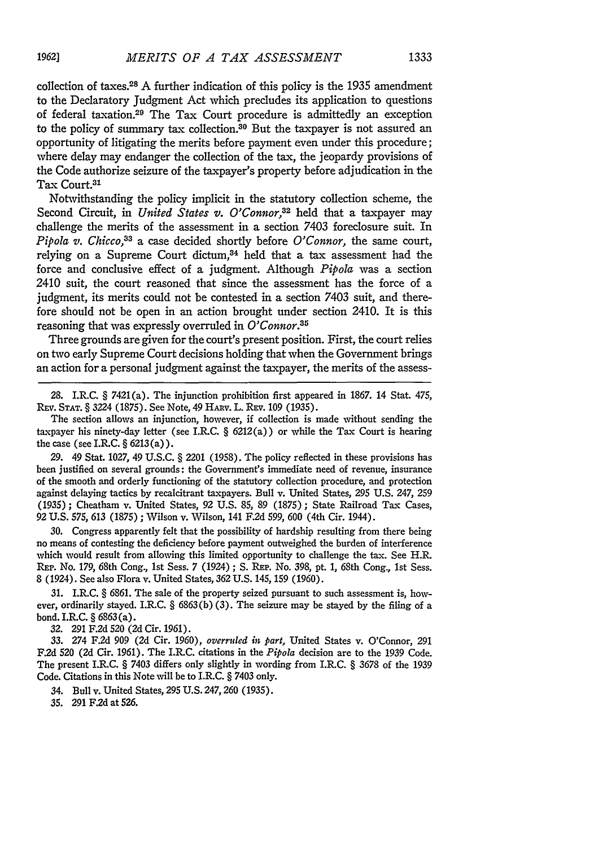collection of taxes. 28 A further indication of this policy is the 1935 amendment to the Declaratory Judgment Act which precludes its application to questions of federal taxation.29 The Tax Court procedure is admittedly an exception to the policy of summary tax collection.<sup>30</sup> But the taxpayer is not assured an opportunity of litigating the merits before payment even under this procedure; where delay may endanger the collection of the tax, the jeopardy provisions of the Code authorize seizure of the taxpayer's property before adjudication in the Tax Court.31

Notwithstanding the policy implicit in the statutory collection scheme, the Second Circuit, in *United States v. O'Connor*,<sup>32</sup> held that a taxpayer may challenge the merits of the assessment in a section 7403 foreclosure suit. In *Pipola v. Chicco,33* a case decided shortly before *O'Connor,* the same court, relying on a Supreme Court dictum,<sup>34</sup> held that a tax assessment had the force and conclusive effect of a judgment. Although *Pipola* was a section 2410 suit, the court reasoned that since the assessment has the force of a judgment, its merits could not be contested in a section 7403 suit, and therefore should not be open in an action brought under section 2410. It is this reasoning that was expressly overruled in *O'Connor.35*

Three grounds are given for the court's present position. First, the court relies on two early Supreme Court decisions holding that when the Government brings an action for a personal judgment against the taxpayer, the merits of the assess-

28. I.R.C. § 7421(a). The injunction prohibition first appeared in 1867. 14 Stat. 475, REv. **STAT.** *§* 3224 (1875). See Note, 49 HAuv. L. **REv.** 109 (1935).

The section allows an injunction, however, if collection is made without sending the taxpayer his ninety-day letter (see I.R.C. *§* 6212(a)) or while the Tax Court is hearing the case (see I.R.C. § 6213(a)).

29. 49 Stat. 1027, 49 U.S.C. *§* 2201 (1958). The policy reflected in these provisions has been justified on several grounds: the Government's immediate need of revenue, insurance of the smooth and orderly functioning of the statutory collection procedure, and protection against delaying tactics **by** recalcitrant taxpayers. Bull v. United States, 295 **U.S.** 247, 259 (1935); Cheatham v. United States, 92 U.S. 85, 89 (1875) ; State Railroad Tax Cases, 92 U.S. 575, 613 (1875) ; Wilson v. Wilson, 141 F.2d 599, 600 (4th Cir. 1944).

30. Congress apparently felt that the possibility of hardship resulting from there being no means of contesting the deficiency before payment outweighed the burden of interference which would result from allowing this limited opportunity to challenge the tax. See H.R. REP. No. 179, 68th Cong., 1st Sess. 7 (1924) ; S. REP. No. 398, pt. 1, 68th Cong., 1st Sess. 8 (1924). See also Flora v. United States, 362 U.S. 145, 159 (1960).

31. I.R.C. *§* 6861. The sale of the property seized pursuant to such assessment is, however, ordinarily stayed. I.R.C.  $\S$  6863(b)(3). The seizure may be stayed by the filing of a bond. I.R.C. *§* 6863 (a).

**32.** 291 F.2d 520 (2d Cir. 1961).

33. 274 F.2d 909 **(2d** Cir. 1960), *overruled in part,* United States v. O'Connor, 291 F.2d 520 (2d Cir. 1961). The I.R.C. citations in the *Pipola* decision are to the 1939 Code. The present I.R.C. § 7403 differs only slightly in wording from I.R.C. *§* 3678 of the 1939 Code. Citations in this Note will be to I.R.C. § 7403 only.

- 34. Bull v. United States, 295 U.S. 247,260 (1935).
- **35.** 291 F.2d at 526.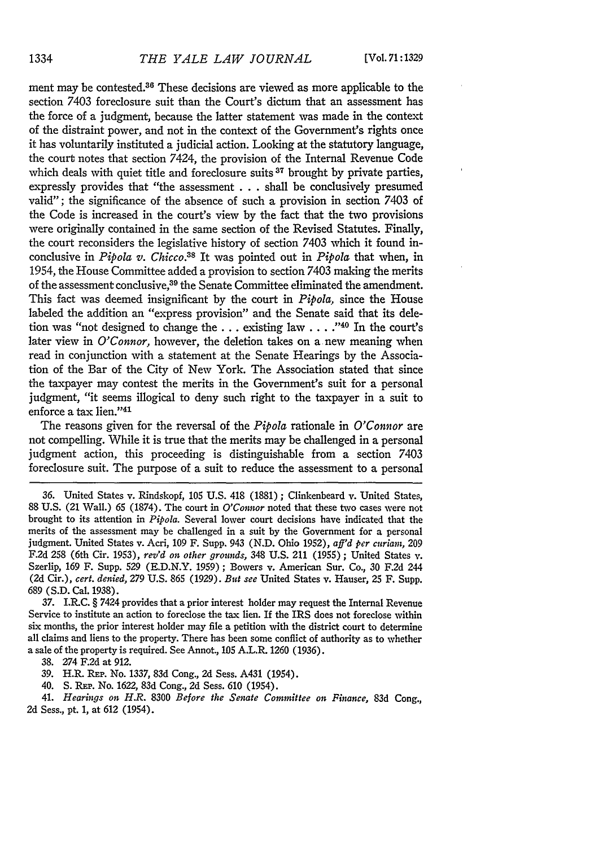ment may be contested.<sup>36</sup> These decisions are viewed as more applicable to the section 7403 foreclosure suit than the Court's dictum that an assessment has the force of a judgment, because the latter statement was made in the context of the distraint power, and not in the context of the Government's rights once it has voluntarily instituted a judicial action. Looking at the statutory language, the court notes that section 7424, the provision of the Internal Revenue Code which deals with quiet title and foreclosure suits <sup>37</sup> brought by private parties, expressly provides that "the assessment . . . shall be conclusively presumed valid"; the significance of the absence of such a provision in section 7403 of the Code is increased in the court's view by the fact that the two provisions were originally contained in the same section of the Revised Statutes. Finally, the court reconsiders the legislative history of section 7403 which it found inconclusive in *Pipola v. Chicco.38* It was pointed out in *Pipola* that when, in 1954, the House Committee added a provision to section 7403 making the merits of the assessment conclusive,39 the Senate Committee eliminated the amendment. This fact was deemed insignificant **by** the court in *Pipola,* since the House labeled the addition an "express provision" and the Senate said that its deletion was "not designed to change the **...** existing law **... ."-0** In the court's later view in *O'Connor*, however, the deletion takes on a new meaning when read in conjunction with a statement at the Senate Hearings **by** the Association of the Bar of the City of New York. The Association stated that since the taxpayer may contest the merits in the Government's suit for a personal judgment, "it seems illogical to deny such right to the taxpayer in a suit to enforce a tax lien."41

The reasons given for the reversal of the *Pipola* rationale in *O'Connor* are not compelling. While it is true that the merits may be challenged in a personal judgment action, this proceeding is distinguishable from a section 7403 foreclosure suit. The purpose of a suit to reduce the assessment to a personal

**37.** I.R.C. § 7424 provides that a prior interest holder may request the Internal Revenue Service to institute an action to foreclose the tax lien. If the IRS does not foreclose within six months, the prior interest holder may file a petition with the district court to determine all claims and liens to the property. There has been some conflict of authority as to whether a sale of the property is required. See Annot., **105 A.L.R.** 1260 (1936).

**38.** 274 F.2d at 912.

**39.** H.R. REP. No. 1337, 83d Cong., 2d Sess. A431 (1954).

40. **S.** REP. No. 1622, 83d Cong., 2d Sess. 610 (1954).

41. *Hearings on. H.R.* 8300 *Before the Senate Committee on Pinance,* 83d Cong., 2d Sess., pt. 1, at 612 (1954).

**<sup>36.</sup>** United States v. Rindskopf, **105** U.S. 418 (1881) ; Clinkenbeard v. United States, 88 **U.S.** (21 Wall.) 65 (1874). The court in *O'Connor* noted that these two cases were not brought to its attention in *Pipola.* Several lower court decisions have indicated that the merits of the assessment may be challenged in a suit **by** the Government for a personal judgment. United States v. Acri, 109 F. Supp. 943 **(N.D.** Ohio 1952), *aff'd per curiam, 209* F.2d 258 (6th Cir. 1953), *rev'd on other grounds,* 348 **U.S.** 211 (1955) ; United States **v.** Szerlip, 169 F. Supp. 529 **(E.D.N.Y.** 1959); Bowers v. American Sur. Co., 30 **F.2d** 244 (2d Cir.), *cert. denied,* 279 **U.S.** 865 (1929). *But see* United States v. Hauser, 25 F. Supp. 689 **(S.D.** Cal. 1938).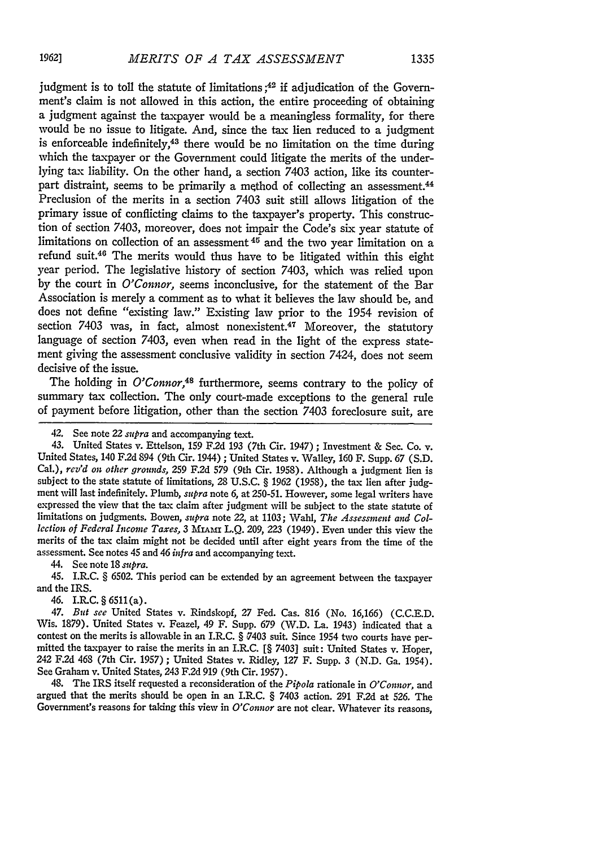judgment is to toll the statute of limitations **;42 if** adjudication of the Government's claim is not allowed in this action, the entire proceeding of obtaining a judgment against the taxpayer would be a meaningless formality, for there would be no issue to litigate. And, since the tax lien reduced to a judgment is enforceable indefinitely,<sup>43</sup> there would be no limitation on the time during which the taxpayer or the Government could litigate the merits of the underlying tax liability. On the other hand, a section 7403 action, like its counterpart distraint, seems to be primarily a method of collecting an assessment.<sup>44</sup> Preclusion of the merits in a section 7403 suit still allows litigation of the primary issue of conflicting claims to the taxpayer's property. This construction of section 7403, moreover, does not impair the Code's six year statute of limitations on collection of an assessment  $45$  and the two year limitation on a refund suit.46 The merits would thus have to be litigated within this eight year period. The legislative history of section 7403, which was relied upon **by** the court in O'Connor, seems inconclusive, for the statement of the Bar Association is merely a comment as to what it believes the law should be, and does not define "existing law." Existing law prior to the 1954 revision of section  $7403$  was, in fact, almost nonexistent.<sup>47</sup> Moreover, the statutory language of section 7403, even when read in the light of the express statement giving the assessment conclusive validity in section 7424, does not seem decisive of the issue.

The holding in *O'Connor*,<sup>48</sup> furthermore, seems contrary to the policy of summary tax collection. The only court-made exceptions to the general rule of payment before litigation, other than the section 7403 foreclosure suit, are

44. See note 18 *supra.*

45. **I.R.C.** § **6502.** This period can be extended **by** an agreement between the taxpayer and the IRS.

46. I.R.C.§ 6511(a).

47. *But see* United States v. Rindskopf, 27 Fed. Cas. 816 (No. 16,166) (C.C.E.D. Wis. 1879). United States v. Feazel, 49 F. Supp. 679 *(W.D. La. 1943)* indicated that a contest on the merits is allowable in an I.R.C. § 7403 suit. Since 1954 two courts have permitted the taxpayer to raise the merits in an I.R.C. [§ 7403] suit: United States v. Hoper, 242 **F.2d** 468 (7th Cir. **1957)** ; United States v. Ridley, **127** F. Supp. 3 (N.D. Ga. 1954). See Graham v. United States, 243 F.2d 919 (9th Cir. 1957).

48. The IRS itself requested a reconsideration of the *Pipola* rationale in *O'Connor,* and argued that the merits should be open in an I.R.C. § 7403 action. 291 **F.2d** at 526. The Government's reasons for taking this view in *O'Connor* are not clear. Whatever its reasons,

<sup>42.</sup> See note 22 *supra* and accompanying text.

<sup>43.</sup> United States v. Ettelson, 159 F.2d 193 (7th Cir. 1947) ; Investment & Sec. Co. v. United States, 140 F.2d 894 (9th Cir. 1944) ; United States v. Walley, 160 F. Supp. 67 (S.D. Cal.), *rcv'd on* other *grounds,* 259 **F.2d** *579* (9th Cir. 1958). Although a judgment lien is subject to the state statute of limitations, **28 U.S.C.** § 1962 (1958), the tax lien after judgment will last indefinitely. Plumb, *supra* note *6,* at **250-51.** However, some legal writers have expressed the view that the tax claim after judgment will be subject to the state statute of limitations on judgments. Bowen, *supra* note 22, at 1103; Wahl, *The Assessment and Collection of Federal Income Taxes, 3 MIANI L.Q. 209, 223 (1949). Even under this view the* merits of the tax claim might not be decided until after eight years from the time of the assessment. See notes 45 and 46 *infra* and accompanying text.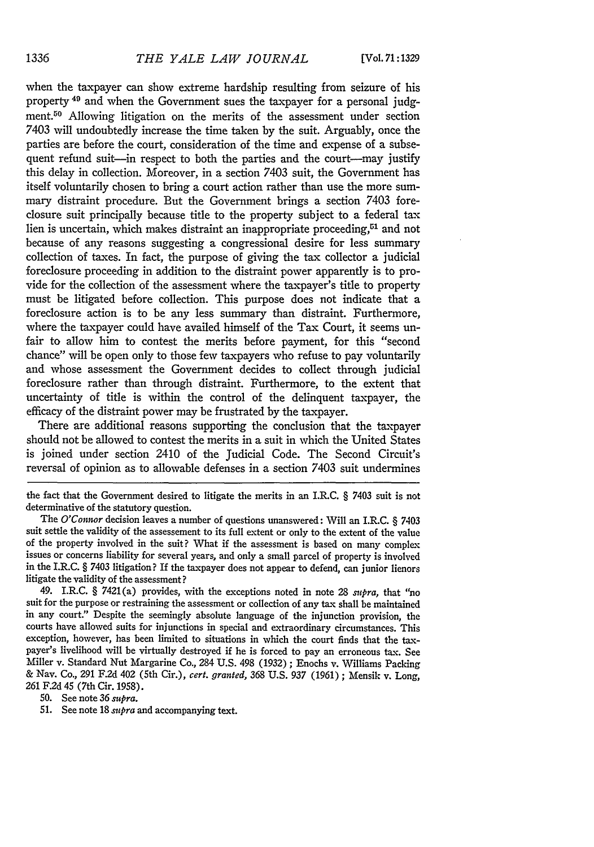when the taxpayer can show extreme hardship resulting from seizure of his property 49 and when the Government sues the taxpayer for a personal **judg**ment.50 Allowing litigation on the merits of the assessment under section 7403 will undoubtedly increase the time taken by the suit. Arguably, once the parties are before the court, consideration of the time and expense of a subsequent refund suit-in respect to both the parties and the court--may justify this delay in collection. Moreover, in a section 7403 suit, the Government has itself voluntarily chosen to bring a court action rather than use the more summary distraint procedure. But the Government brings a section 7403 foreclosure suit principally because title to the property subject to a federal tax lien is uncertain, which makes distraint an inappropriate proceeding, $51$  and not because of any reasons suggesting a congressional desire for less summary collection of taxes. In fact, the purpose of giving the tax collector a judicial foreclosure proceeding in addition to the distraint power apparently is to provide for the collection of the assessment where the taxpayer's title to property must be litigated before collection. This purpose does not indicate that a foreclosure action is to be any less summary than distraint. Furthermore, where the taxpayer could have availed himself of the Tax Court, it seems unfair to allow him to contest the merits before payment, for this "second chance" will be open only to those few taxpayers who refuse to pay voluntarily and whose assessment the Government decides to collect through judicial foreclosure rather than through distraint. Furthermore, to the extent that uncertainty of title is within the control of the delinquent taxpayer, the efficacy of the distraint power may be frustrated by the taxpayer.

There are additional reasons supporting the conclusion that the taxpayer should not be allowed to contest the merits in a suit in which the United States is joined under section 2410 of the Judicial Code. The Second Circuit's reversal of opinion as to allowable defenses in a section 7403 suit undermines

the fact that the Government desired to litigate the merits in an I.R.C. § 7403 suit is not determinative of the statutory question.

The *O'Connor* decision leaves a number of questions unanswered: Will an I.R.C. § 7403 suit settle the validity of the assessement to its full extent or only to the extent of the value of the property involved in the suit? What if the assessment is based on many complex issues or concerns liability for several years, and only a small parcel of property is involved in the I.R.C. § 7403 litigation? If the taxpayer does not appear to defend, can junior lienors litigate the validity of the assessment?

49. I.R.C. § 7421(a) provides, with the exceptions noted in note **28** *spra,* that "no suit for the purpose or restraining the assessment or collection of any tax shall be maintained in any court." Despite the seemingly absolute language of the injunction provision, the courts have allowed suits for injunctions in special and extraordinary circumstances. This exception, however, has been limited to situations in which the court finds that the taxpayer's livelihood will be virtually destroyed if he is forced to pay an erroneous tax. See Miller v. Standard Nut Margarine Co., 284 U.S. 498 (1932) ; Enochs v. Williams Packing & Nay. Co., 291 F.2d 402 (5th Cir.), *cert. granted,* 368 U.S. 937 (1961) ; Mensik v. Long, 261 F.2d 45 (7th Cir. 1958).

50. See note 36 *supra.*

51. See note **18** *supra* and accompanying text.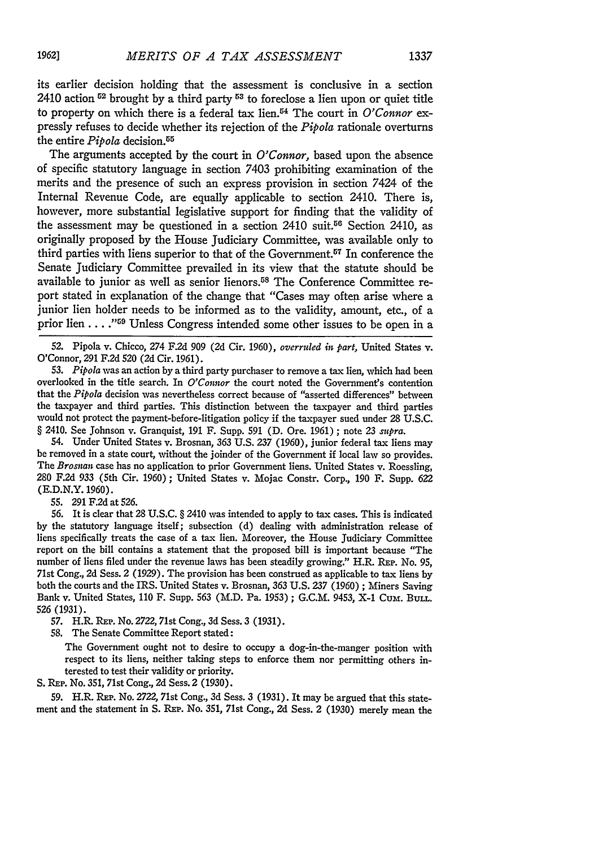its earlier decision holding that the assessment is conclusive in a section 2410 action **<sup>i</sup> <sup>2</sup>**brought by a third party **53** to foreclose a lien upon or quiet title to property on which there is a federal tax lien.<sup>54</sup> The court in *O'Connor* expressly refuses to decide whether its rejection of the *Pipola* rationale overturns the entire *Pipola* decision.<sup>55</sup>

The arguments accepted by the court in *O'Connor,* based upon the absence of specific statutory language in section 7403 prohibiting examination of the merits and the presence of such an express provision in section 7424 of the Internal Revenue Code, are equally applicable to section 2410. There is, however, more substantial legislative support for finding that the validity of the assessment may be questioned in a section  $2410$  suit.<sup>56</sup> Section 2410, as originally proposed by the House Judiciary Committee, was available only to third parties with liens superior to that of the Government.<sup>57</sup> In conference the Senate Judiciary Committee prevailed in its view that the statute should be available to junior as well as senior lienors.58 The Conference Committee report stated in explanation of the change that "Cases may often arise where a junior lien holder needs to be informed as to the validity, amount, etc., of a prior lien . . . . "<sup>59</sup> Unless Congress intended some other issues to be open in a

**52.** Pipola v. Chicco, 274 F.2d **909 (2d** Cir. 1960), *overruled in* part, United States **v.** O'Connor, 291 F.2d 520 (2d Cir. 1961).

53. *Pipola* was an action by a third party purchaser to remove a tax lien, which had been overlooked in the title search. In *O'Connor* the court noted the Government's contention that the *Pipola* decision was nevertheless correct because of "asserted differences" between the taxpayer and third parties. This distinction between the taxpayer and third parties would not protect the payment-before-litigation policy if the taxpayer sued under 28 U.S.C. § 2410. See Johnson v. Granquist, **191** F. Supp. 591 (D. Ore. 1961) ; note 23 *supra.*

54. Under United States v. Brosnan, 363 U.S. 237 (1960), junior federal tax liens may be removed in a state court, without the joinder of the Government if local law so provides. The *Brosnan* case has no application to prior Government liens. United States v. Roessling, 280 F.2d 933 (5th Cir. 1960); United States v. Mojac Constr. Corp., 190 F. Supp. **622** (E.D.N.Y. 1960).

55. 291 F.2d at 526.

56. It is clear that 28 U.S.C. § 2410 was intended to apply to tax cases. This is indicated by the statutory language itself; subsection (d) dealing with administration release of liens specifically treats the case of a tax lien. Moreover, the House Judiciary Committee report on the bill contains a statement that the proposed bill is important because "The number of liens filed under the revenue laws has been steadily growing." H.R. REP. No. 95, 71st Cong., 2d Sess. 2 (1929). The provision has been construed as applicable to tax liens by both the courts and the IRS. United States v. Brosnan, 363 U.S. 237 (1960) **;** Miners Saving Bank v. United States, 110 F. Supp. 563 (M.D. Pa. 1953) ; G.C.M. 9453, X-1 Cum. **BuLL. 526** (1931).

57. H.R. REP. No. 2722,71st Cong., 3d Sess. 3 (1931).

58. The Senate Committee Report stated:

The Government ought not to desire to occupy a dog-in-the-manger position with respect to its liens, neither taking steps to enforce them nor permitting others interested to test their validity or priority.

S. REP. No. 351, 71st Cong., 2d Sess. 2 (1930).

59. H.R. REP. No. 2722, 71st Cong., 3d Sess. 3 (1931). It may be argued that this statement and the statement in **S.** REP. No. 351, 71st Cong., 2d Sess. 2 (1930) merely mean the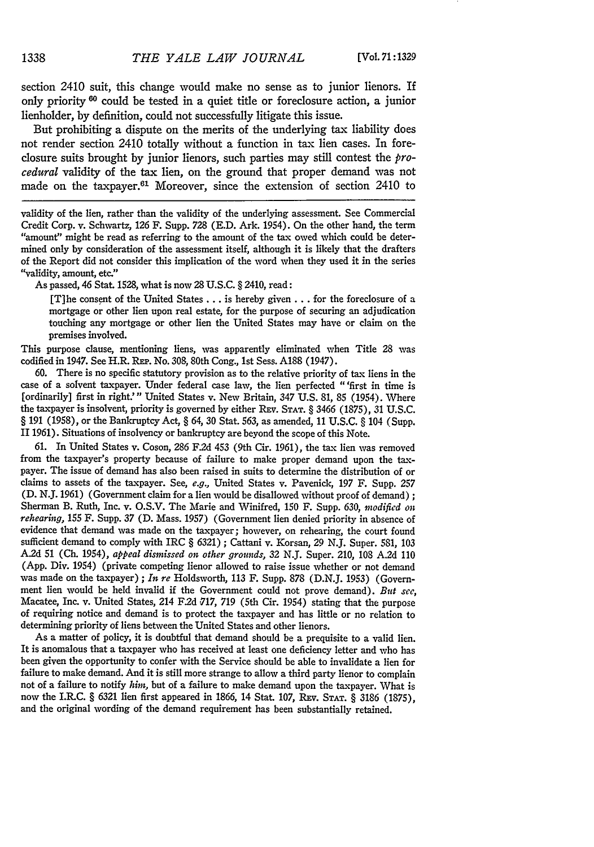section 2410 suit, this change would make no sense as to junior lienors. If only priority **60** could be tested in a quiet title or foreclosure action, a junior lienholder, by definition, could not successfully litigate this issue.

But prohibiting a dispute on the merits of the underlying tax liability does not render section 2410 totally without a function in tax lien cases. In foreclosure suits brought by junior lienors, such parties may still contest the *pro*cedural validity of the tax lien, on the ground that proper demand was not made on the taxpayer.<sup>61</sup> Moreover, since the extension of section 2410 to

validity of the lien, rather than the validity of the underlying assessment. See Commercial Credit Corp. v. Schwartz, 126 F. Supp. 728 (E.D. Ark. 1954). On the other hand, the term "amount" might be read as referring to the amount of the tax owed which could be determined only by consideration of the assessment itself, although it is likely that the drafters of the Report did not consider this implication of the word when they used it in the series "validity, amount, etc."

As passed, 46 Stat. 1528, what is now 28 U.S.C. § 2410, read:

[T]he consent of the United States... is hereby given . **.** . for the foreclosure of a mortgage or other lien upon real estate, for the purpose of securing an adjudication touching any mortgage or other lien the United States may have or claim on the premises involved.

This purpose clause, mentioning liens, was apparently eliminated when Title 28 was codified in 1947. See H.R. **REP.** No. 308, 80th Cong., 1st Sess. A188 (1947).

60. There is no specific statutory provision as to the relative priority of tax liens in the case of a solvent taxpayer. Under federal case law, the lien perfected "'first in time is [ordinarily] first in right.'" United States v. New Britain, 347 U.S. 81, 85 (1954). Where the taxpayer is insolvent, priority is governed by either REv. **STAT.** § 3466 (1875), 31 U.S.C. § 191 (1958), or the Bankruptcy Act, § *64,* 30 Stat. 563, as amended, 11 U.S.C. § 104 (Supp. II 1961). Situations of insolvency or bankruptcy are beyond the scope of this Note.

61. In United States v. Coson, *286* F.2d 453 (9th Cir. 1961), the tax lien was removed from the taxpayer's property because of failure to make proper demand upon the taxpayer. The issue of demand has also been raised in suits to determine the distribution of or claims to assets of the taxpayer. See, e.g., United States v. Pavenick, 197 F. Supp. 257 (D. N.J. 1961) (Government claim for a lien would be disallowed without proof of demand) **;** Sherman B. Ruth, Inc. v. O.S.V. The Marie and Winifred, 150 F. Supp. 630, *modified on rehearing,* 155 F. Supp. 37 (D. Mass. 1957) (Government lien denied priority in absence of evidence that demand was made on the taxpayer; however, on rehearing, the court found sufficient demand to comply with IRC § 6321) ; Cattani v. Korsan, 29 N.J. Super. 581, 103 **A.2d** 51 (Ch. 1954), *appeal dismissed on other grounds,* 32 N.J. Super. 210, 108 A.2d 110 (App. Div. 1954) (private competing lienor allowed to raise issue whether or not demand was made on the taxpayer) ; *In re* Holdsworth, 113 F. Supp. 878 (D.N.J. 1953) (Government lien would be held invalid if the Government could not prove demand). *But see,* Macatee, Inc. v. United States, 214 F.2d 717, 719 (5th Cir. 1954) stating that the purpose of requiring notice and demand is to protect the taxpayer and has little or no relation to determining priority of liens between the United States and other lienors.

As a matter of policy, it is doubtful that demand should be a prequisite to a valid lien. It is anomalous that a taxpayer who has received at least one deficiency letter and who has been given the opportunity to confer with the Service should be able to invalidate a lien for failure to make demand. And it is still more strange to allow a third party lienor to complain not of a failure to notify *him,* but of a failure to make demand upon the taxpayer. What is now the I.R.C. § 6321 lien first appeared in 1866, 14 Stat. 107, REv. **STAT.** § 3186 (1875), and the original wording of the demand requirement has been substantially retained.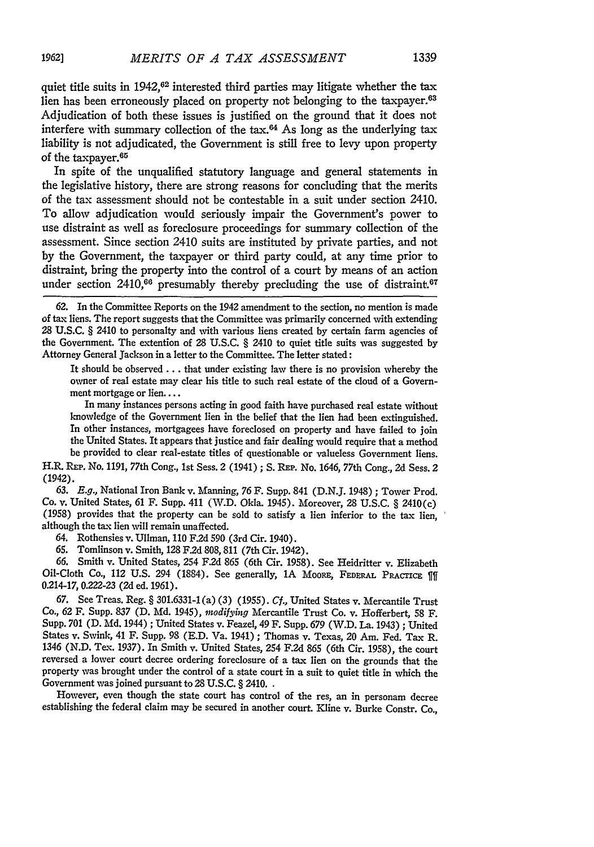In spite of the unqualified statutory language and general statements in the legislative history, there are strong reasons for concluding that the merits of the tax assessment should not be contestable in a suit under section 2410. To allow adjudication would seriously impair the Government's power to use distraint as well as foreclosure proceedings for summary collection of the assessment. Since section 2410 suits are instituted by private parties, and not by the Government, the taxpayer or third party could, at any time prior to distraint, bring the property into the control of a court by means of an action under section  $2410,66$  presumably thereby precluding the use of distraint.<sup>67</sup>

62. In the Committee Reports on the 1942 amendment to the section, no mention is made of tax liens. The report suggests that the Committee was primarily concerned with extending **28** U.S.C. § 2410 to personalty and with various liens created by certain farm agencies of the Government. The extention of 28 U.S.C. § 2410 to quiet title suits was suggested by Attorney General Jackson in a letter to the Committee. The letter stated:

It should be observed.., that under existing law there is no provision whereby the owner of real estate may clear his title to such real estate of the cloud of a Government mortgage or lien....

In many instances persons acting in good faith have purchased real estate without knowledge of the Government lien in the belief that the lien had been extinguished. In other instances, mortgagees have foreclosed on property and have failed to join the United States. It appears that justice and fair dealing would require that a method be provided to clear real-estate titles of questionable or valueless Government liens.

H.R. REP. No. 1191, 77th Cong., 1st Sess. 2 (1941) ; **S.** REP. No. 1646, 77th Cong., 2d Sess. 2 (1942).

**63.** *E.g.,* National Iron Bank v. Manning, 76 F. Supp. 841 (D.N.J. 1948) ; Tower Prod. Co. v. United States, 61 F. Supp. 411 (W.D. Okla. 1945). Moreover, 28 U.S.C. § 2410(c) (1958) provides that the property can be sold to satisfy a lien inferior to the tax lien, although the tax lien will remain unaffected.

64. Rothensies v. Ullman, 110 F.2d 590 (3rd Cir. 1940).

65. Tomlinson v. Smith, 128 F.2d 808, 811 (7th Cir. 1942).

66. Smith v. United States, 254 F.2d 865 (6th Cir. 1958). See Heidritter v. Elizabeth Oil-Cloth Co., 112 U.S. 294 (1884). See generally, 1A Moore, FEDERAL PRACTICE 111 0.214-17, 0.222-23 **(2d** ed. 1961).

67. See Treas. Reg. § 301.6331-1 (a) (3) (1955). *Cf.,* United States v. Mercantile Trust Co., 62 F. Supp. 837 (D. **Md.** 1945), *modifying* Mercantile Trust Co. v. Hofferbert, 58 F. Supp. 701 (D. Md. 1944) ; United States v. Feazel, 49 F. Supp. 679 (W.D. La. 1943) ; United States v. Swink, 41 F. Supp. 98 (E.D. Va. 1941) ; Thomas v. Texas, 20 Am. Fed. Tax R. 1346 (N.D. Tex. 1937). In Smith v. United States, 254 F.2d 865 (6th Cir. 1958), the court reversed a lower court decree ordering foreclosure of a tax lien on the grounds that the property was brought under the control of a state court in a suit to quiet title in which the Government was joined pursuant to 28 U.S.C. § 2410..

However, even though the state court has control of the res, an in personam decree establishing the federal claim may be secured in another court. Kline v. Burke Constr. Co.,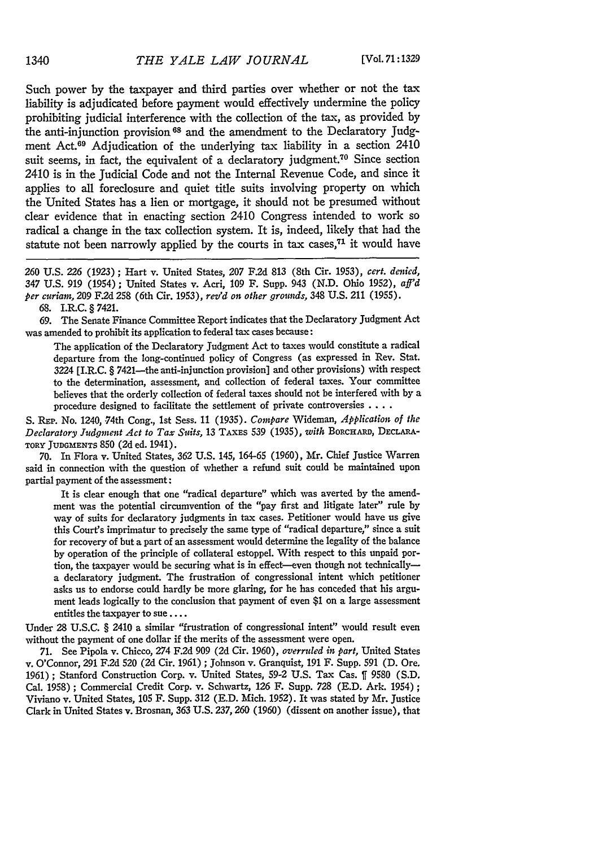Such power by the taxpayer and third parties over whether or not the tax liability is adjudicated before payment would effectively undermine the policy prohibiting judicial interference with the collection of the tax, as provided by the anti-injunction provision **6 8** and the amendment to the Declaratory judgment Act.<sup>69</sup> Adjudication of the underlying tax liability in a section 2410 suit seems, in fact, the equivalent of a declaratory judgment.<sup>70</sup> Since section 2410 is in the Judicial Code and not the Internal Revenue Code, and since it applies to all foreclosure and quiet title suits involving property on which the United States has a lien or mortgage, it should not be presumed without clear evidence that in enacting section 2410 Congress intended to work so radical a change in the tax collection system. It is, indeed, likely that had the statute not been narrowly applied by the courts in tax cases, $71$  it would have

260 U.S. 226 (1923) ; Hart v. United States, *207* F.2d 813 (8th Cir. 1953), *cert. denied,* 347 U.S. 919 (1954) ; United States v. Acri, 109 F. Supp. 943 (N.D. Ohio 1952), *aff'd per curiam,* 209 **F.2d** 258 (6th Cir. 1953), *rez'd on other grounds,* 348 U.S. 211 (1955).

68. I.R.C. § 7421.

69. The Senate Finance Committee Report indicates that the Declaratory Judgment Act was amended to prohibit its application to federal tax cases because:

The application of the Declaratory Judgment Act to taxes would constitute a radical departure from the long-continued policy of Congress (as expressed in Rev. Stat. 3224 [I.R.C. § 7421-the anti-injunction provision] and other provisions) with respect to the determination, assessment, and collection of federal taxes. Your committee believes that the orderly collection of federal taxes should not be interfered with by a procedure designed to facilitate the settlement of private controversies **....**

S. REP. No. 1240, 74th Cong., 1st Sess. 11 (1935). *Compare* Wideman, *Application of the Declaratory Judgment Act to Tax Suits,* **13 TAXES** 539 (1935), *with* BORCHARD, DEcLARA-**TORY JUDGMENTS 850 (2d** ed. 1941).

70. In Flora v. United States, **362** U.S. 145, 164-65 (1960), Mr. Chief Justice Warren said in connection with the question of whether a refund suit could be maintained upon partial payment of the assessment:

It is clear enough that one "radical departure" which was averted **by** the amendment was the potential circumvention of the "pay first and litigate later" rule **by** way of suits for declaratory judgments in tax cases. Petitioner would have us give this Court's imprimatur to precisely the same type of "radical departure," since a suit for recovery of but a part of an assessment would determine the legality of the balance by operation of the principle of collateral estoppel. With respect to this unpaid portion, the taxpayer would be securing what is in effect-even though not technically-a declaratory judgment. The frustration of congressional intent which petitioner asks us to endorse could hardly be more glaring, for he has conceded that his argument leads logically to the conclusion that payment of even \$1 on a large assessment entitles the taxpayer to sue **....**

Under 28 U.S.C. § 2410 a similar "frustration of congressional intent" would result even without the payment of one dollar if the merits of the assessment were open.

71. See Pipola v. Chicco, 274 F.2d 909 (2d Cir. 1960), *overruled it part,* United States v. O'Connor, **291** F2d 520 (2d Cir. 1961) ; Johnson v. Granquist, 191 F. Supp. **591** (D. Ore. 1961) **;** Stanford Construction Corp. v. United States, **59-2** U.S. Tax Cas. **ff** 9580 (S.D. Cal. 1958) ; Commercial Credit Corp. v. Schwartz, **126** F. Supp. 728 (E.D. Ark. 1954) **;** Viviano v. United States, 105 F. Supp. **312** (E.D. Mich. 1952). It was stated by Mr. Justice Clark in United States **v.** Brosnan, **363** U.S. **237, 260** (1960) (dissent on another issue), that